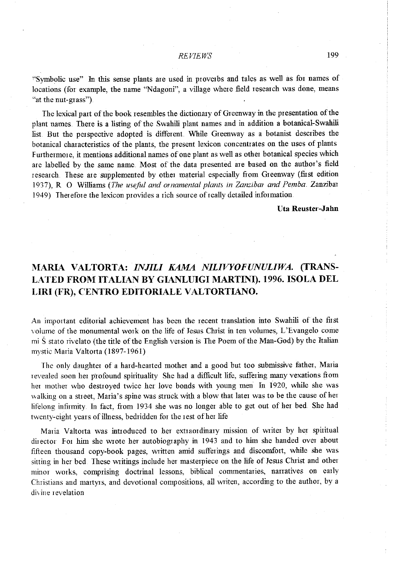"Symbolic use" In this sense plants are used in proverbs and tales as well as for names of locations (for example, the name "Ndagoni", a village where field research was done, means "at the nut-grass").

The lexical part of the book resembles the dictionary of Greenway in the presentation of the <sup>p</sup>lant names. There is a listing of the Swahili plant names and in addition a botanical-Swahili list. But the perspective adopted is different. While Green way as a botanist describes the botanical characteristics of the plants, the present lexicon concentrates on the uses of plants Furthermore, it mentions additional names of one plant as well as other botanical species which are labelled by the same name. Most of the data presented are based on the author's field research. These are supplemented by other material especially from Greenway (first edition 1937), R 0 Williams *(The useful and ornamental plants in Zanzibm and Pemba.* Zanzibal 1949) Therefore the lexicon provides a rich source of really detailed information

**Uta Reuster-Jahn** 

## **MARIA VALTORTA:** *INJILI KAMA NILWYOFUNULIWA.* **(TRANS-LATED FROM ITALIAN BY GIANLUIGI MARTINI). 1996. ISOLA DEL**  LIRI (FR), CENTRO EDITORIALE VALTORTIANO.

An important editorial achievement has been the recent translation into Swahili of the first volume of the monumental work on the life of Jesus Christ in ten volumes, L'Evangelo come mi S stato rivelato (the title of the English version is The Poem of the Man-God) by the Italian mystic Maria Valtorta (1897-1961)

The only daughter of a hard-hearted mother and a good but too submissive father, Maria revealed soon her profound spirituality She had a difficult life, suffering many vexations from het mother who destroyed twice her love bonds with young men ln 1920, while she was walking on a street, Maria's spine was struck with a blow that later was to be the cause of her lifelong infirmity. ln fact, from 1934 she was no longer able to get out of her bed She had twenty-eight years of illness, bedridden for the rest of her life

Maria Valtorta was introduced to her extraordinary mission of writer by her spiritual director For him she wrote her autobiography in 1943 and to him she handed over about fifteen thousand copy-book pages, written amid sufferings and discomfort, while she was sitting in her bed. These writings include her masterpiece on the life of Jesus Christ and other minor works, comprising doctrinal lessons, biblical commentaries, narratives on early Christians and martyrs, and devotional compositions, all writen, according to the author, by a divine revelation